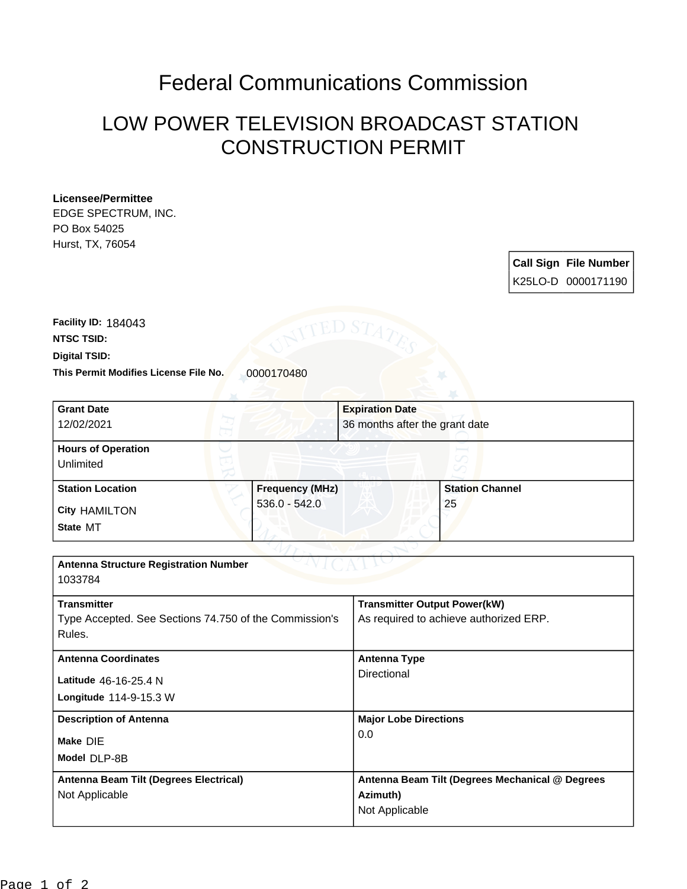## Federal Communications Commission

## LOW POWER TELEVISION BROADCAST STATION CONSTRUCTION PERMIT

## **Licensee/Permittee**

EDGE SPECTRUM, INC. PO Box 54025 Hurst, TX, 76054

| <b>Call Sign File Number</b> |
|------------------------------|
| K25LO-D 0000171190           |

This Permit Modifies License File No. 0000170480 **Digital TSID: NTSC TSID: Facility ID:** 184043

| <b>Grant Date</b>                                      |                        | <b>Expiration Date</b>                 |                                                 |
|--------------------------------------------------------|------------------------|----------------------------------------|-------------------------------------------------|
| 12/02/2021                                             |                        | 36 months after the grant date         |                                                 |
| <b>Hours of Operation</b>                              |                        |                                        |                                                 |
| Unlimited                                              |                        |                                        |                                                 |
| <b>Station Location</b>                                | <b>Frequency (MHz)</b> |                                        | <b>Station Channel</b>                          |
| <b>City HAMILTON</b>                                   | $536.0 - 542.0$        |                                        | 25                                              |
| State MT                                               |                        |                                        |                                                 |
|                                                        |                        |                                        |                                                 |
| <b>Antenna Structure Registration Number</b>           |                        |                                        |                                                 |
| 1033784                                                |                        |                                        |                                                 |
| <b>Transmitter</b>                                     |                        | <b>Transmitter Output Power(kW)</b>    |                                                 |
| Type Accepted. See Sections 74.750 of the Commission's |                        | As required to achieve authorized ERP. |                                                 |
| Rules.                                                 |                        |                                        |                                                 |
| <b>Antenna Coordinates</b>                             |                        | <b>Antenna Type</b>                    |                                                 |
| Latitude 46-16-25.4 N                                  |                        | Directional                            |                                                 |
| Longitude 114-9-15.3 W                                 |                        |                                        |                                                 |
| <b>Description of Antenna</b>                          |                        | <b>Major Lobe Directions</b>           |                                                 |
| Make DIE                                               |                        | 0.0                                    |                                                 |
| Model DLP-8B                                           |                        |                                        |                                                 |
| Antenna Beam Tilt (Degrees Electrical)                 |                        |                                        | Antenna Beam Tilt (Degrees Mechanical @ Degrees |
| Not Applicable                                         |                        | Azimuth)                               |                                                 |
|                                                        |                        |                                        |                                                 |